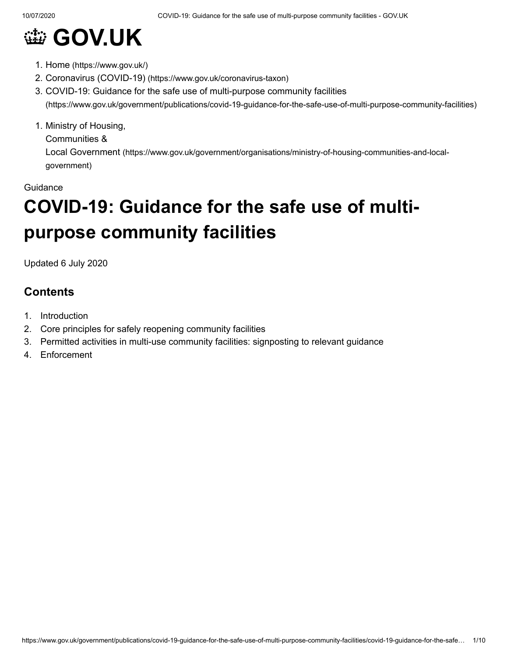

- 1. Home [\(https://www.gov.uk/\)](https://www.gov.uk/)
- 2. Coronavirus (COVID-19) [\(https://www.gov.uk/coronavirus-taxon\)](https://www.gov.uk/coronavirus-taxon)
- 3. COVID-19: Guidance for the safe use of multi-purpose community facilities [\(https://www.gov.uk/government/publications/covid-19-guidance-for-the-safe-use-of-multi-purpose-community-facilities\)](https://www.gov.uk/government/publications/covid-19-guidance-for-the-safe-use-of-multi-purpose-community-facilities)
- 1. Ministry of Housing,

Communities &

Local Government [\(https://www.gov.uk/government/organisations/ministry-of-housing-communities-and-local](https://www.gov.uk/government/organisations/ministry-of-housing-communities-and-local-government)government)

#### **Guidance**

# **COVID-19: Guidance for the safe use of multipurpose community facilities**

Updated 6 July 2020

## **Contents**

- 1. Introduction
- 2. Core principles for safely reopening community facilities
- 3. Permitted activities in multi-use community facilities: signposting to relevant guidance
- 4. Enforcement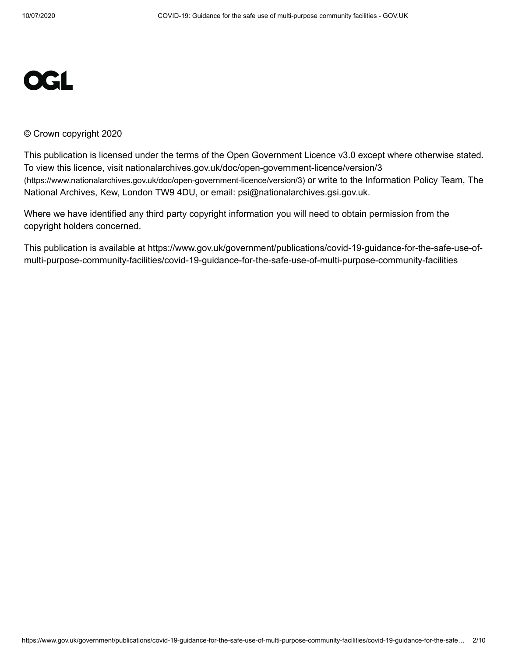# **OGL**

#### © Crown copyright 2020

This publication is licensed under the terms of the Open Government Licence v3.0 except where otherwise stated. To view this licence, visit [nationalarchives.gov.uk/doc/open-government-licence/version/3](https://www.nationalarchives.gov.uk/doc/open-government-licence/version/3) (https://www.nationalarchives.gov.uk/doc/open-government-licence/version/3) or write to the Information Policy Team, The National Archives, Kew, London TW9 4DU, or email: [psi@nationalarchives.gsi.gov.uk](mailto:psi@nationalarchives.gsi.gov.uk).

Where we have identified any third party copyright information you will need to obtain permission from the copyright holders concerned.

This publication is available at https://www.gov.uk/government/publications/covid-19-guidance-for-the-safe-use-ofmulti-purpose-community-facilities/covid-19-guidance-for-the-safe-use-of-multi-purpose-community-facilities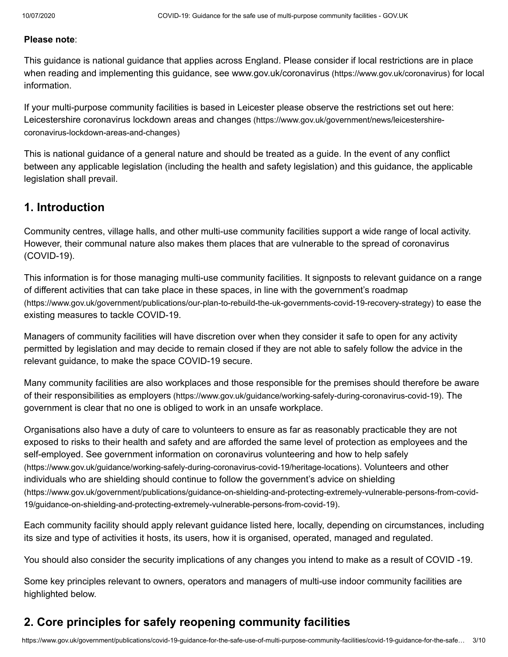#### **Please note**:

This guidance is national guidance that applies across England. Please consider if local restrictions are in place when reading and implementing this guidance, see www.gov.uk/coronavirus [\(https://www.gov.uk/coronavirus\)](https://www.gov.uk/coronavirus) for local information.

If your multi-purpose community facilities is based in Leicester please observe the restrictions set out here: Leicestershire coronavirus lockdown areas and changes [\(https://www.gov.uk/government/news/leicestershire](https://www.gov.uk/government/news/leicestershire-coronavirus-lockdown-areas-and-changes)coronavirus-lockdown-areas-and-changes)

This is national guidance of a general nature and should be treated as a guide. In the event of any conflict between any applicable legislation (including the health and safety legislation) and this guidance, the applicable legislation shall prevail.

## **1. Introduction**

Community centres, village halls, and other multi-use community facilities support a wide range of local activity. However, their communal nature also makes them places that are vulnerable to the spread of coronavirus (COVID-19).

This information is for those managing multi-use community facilities. It signposts to relevant guidance on a range of different activities that can take place in these spaces, in line with the government's roadmap [\(https://www.gov.uk/government/publications/our-plan-to-rebuild-the-uk-governments-covid-19-recovery-strategy\)](https://www.gov.uk/government/publications/our-plan-to-rebuild-the-uk-governments-covid-19-recovery-strategy) to ease the existing measures to tackle COVID-19.

Managers of community facilities will have discretion over when they consider it safe to open for any activity permitted by legislation and may decide to remain closed if they are not able to safely follow the advice in the relevant guidance, to make the space COVID-19 secure.

Many community facilities are also workplaces and those responsible for the premises should therefore be aware of their responsibilities as employers [\(https://www.gov.uk/guidance/working-safely-during-coronavirus-covid-19\)](https://www.gov.uk/guidance/working-safely-during-coronavirus-covid-19). The government is clear that no one is obliged to work in an unsafe workplace.

Organisations also have a duty of care to volunteers to ensure as far as reasonably practicable they are not exposed to risks to their health and safety and are afforded the same level of protection as employees and the self-employed. See government information on coronavirus volunteering and how to help safely [\(https://www.gov.uk/guidance/working-safely-during-coronavirus-covid-19/heritage-locations\)](https://www.gov.uk/guidance/working-safely-during-coronavirus-covid-19/heritage-locations). Volunteers and other individuals who are shielding should continue to follow the government's advice on shielding [\(https://www.gov.uk/government/publications/guidance-on-shielding-and-protecting-extremely-vulnerable-persons-from-covid-](https://www.gov.uk/government/publications/guidance-on-shielding-and-protecting-extremely-vulnerable-persons-from-covid-19/guidance-on-shielding-and-protecting-extremely-vulnerable-persons-from-covid-19)19/guidance-on-shielding-and-protecting-extremely-vulnerable-persons-from-covid-19).

Each community facility should apply relevant guidance listed here, locally, depending on circumstances, including its size and type of activities it hosts, its users, how it is organised, operated, managed and regulated.

You should also consider the security implications of any changes you intend to make as a result of COVID -19.

Some key principles relevant to owners, operators and managers of multi-use indoor community facilities are highlighted below.

## **2. Core principles for safely reopening community facilities**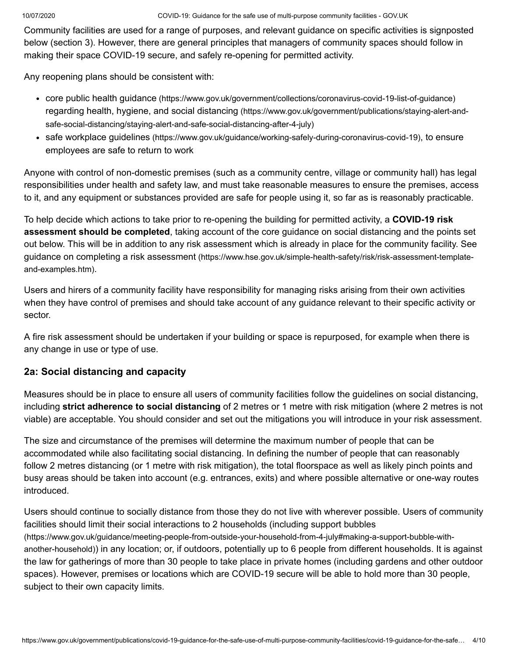Community facilities are used for a range of purposes, and relevant guidance on specific activities is signposted below (section 3). However, there are general principles that managers of community spaces should follow in making their space COVID-19 secure, and safely re-opening for permitted activity.

Any reopening plans should be consistent with:

- core public health guidance [\(https://www.gov.uk/government/collections/coronavirus-covid-19-list-of-guidance\)](https://www.gov.uk/government/collections/coronavirus-covid-19-list-of-guidance) regarding health, hygiene, and social distancing (https://www.gov.uk/government/publications/staying-alert-and[safe-social-distancing/staying-alert-and-safe-social-distancing-after-4-july\)](https://www.gov.uk/government/publications/staying-alert-and-safe-social-distancing/staying-alert-and-safe-social-distancing-after-4-july)
- safe workplace guidelines [\(https://www.gov.uk/guidance/working-safely-during-coronavirus-covid-19\)](https://www.gov.uk/guidance/working-safely-during-coronavirus-covid-19), to ensure employees are safe to return to work

Anyone with control of non-domestic premises (such as a community centre, village or community hall) has legal responsibilities under health and safety law, and must take reasonable measures to ensure the premises, access to it, and any equipment or substances provided are safe for people using it, so far as is reasonably practicable.

To help decide which actions to take prior to re-opening the building for permitted activity, a **COVID-19 risk assessment should be completed**, taking account of the core guidance on social distancing and the points set out below. This will be in addition to any risk assessment which is already in place for the community facility. See guidance on completing a risk assessment [\(https://www.hse.gov.uk/simple-health-safety/risk/risk-assessment-template](https://www.hse.gov.uk/simple-health-safety/risk/risk-assessment-template-and-examples.htm)and-examples.htm).

Users and hirers of a community facility have responsibility for managing risks arising from their own activities when they have control of premises and should take account of any guidance relevant to their specific activity or sector.

A fire risk assessment should be undertaken if your building or space is repurposed, for example when there is any change in use or type of use.

## **2a: Social distancing and capacity**

Measures should be in place to ensure all users of community facilities follow the guidelines on social distancing, including **strict adherence to social distancing** of 2 metres or 1 metre with risk mitigation (where 2 metres is not viable) are acceptable. You should consider and set out the mitigations you will introduce in your risk assessment.

The size and circumstance of the premises will determine the maximum number of people that can be accommodated while also facilitating social distancing. In defining the number of people that can reasonably follow 2 metres distancing (or 1 metre with risk mitigation), the total floorspace as well as likely pinch points and busy areas should be taken into account (e.g. entrances, exits) and where possible alternative or one-way routes introduced.

Users should continue to socially distance from those they do not live with wherever possible. Users of community facilities should limit their social interactions to 2 households (including support bubbles [\(https://www.gov.uk/guidance/meeting-people-from-outside-your-household-from-4-july#making-a-support-bubble-with](https://www.gov.uk/guidance/meeting-people-from-outside-your-household-from-4-july#making-a-support-bubble-with-another-household)another-household)) in any location; or, if outdoors, potentially up to 6 people from different households. It is against the law for gatherings of more than 30 people to take place in private homes (including gardens and other outdoor spaces). However, premises or locations which are COVID-19 secure will be able to hold more than 30 people, subject to their own capacity limits.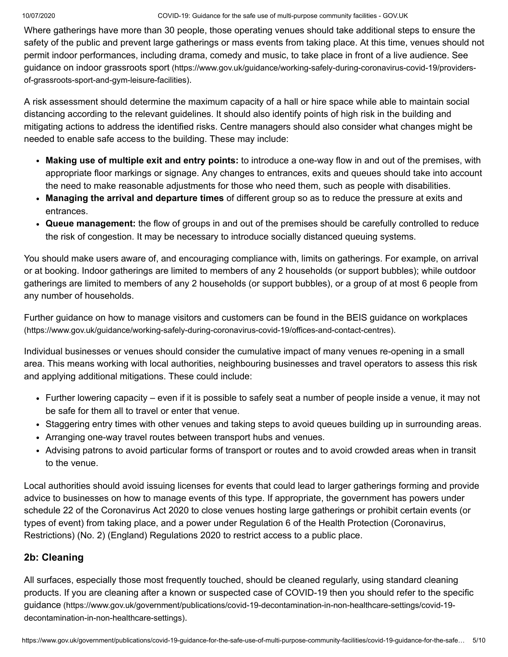Where gatherings have more than 30 people, those operating venues should take additional steps to ensure the safety of the public and prevent large gatherings or mass events from taking place. At this time, venues should not permit indoor performances, including drama, comedy and music, to take place in front of a live audience. See guidance on indoor grassroots sport [\(https://www.gov.uk/guidance/working-safely-during-coronavirus-covid-19/providers](https://www.gov.uk/guidance/working-safely-during-coronavirus-covid-19/providers-of-grassroots-sport-and-gym-leisure-facilities)of-grassroots-sport-and-gym-leisure-facilities).

A risk assessment should determine the maximum capacity of a hall or hire space while able to maintain social distancing according to the relevant guidelines. It should also identify points of high risk in the building and mitigating actions to address the identified risks. Centre managers should also consider what changes might be needed to enable safe access to the building. These may include:

- **Making use of multiple exit and entry points:** to introduce a one-way flow in and out of the premises, with appropriate floor markings or signage. Any changes to entrances, exits and queues should take into account the need to make reasonable adjustments for those who need them, such as people with disabilities.
- **Managing the arrival and departure times** of different group so as to reduce the pressure at exits and entrances.
- **Queue management:** the flow of groups in and out of the premises should be carefully controlled to reduce the risk of congestion. It may be necessary to introduce socially distanced queuing systems.

You should make users aware of, and encouraging compliance with, limits on gatherings. For example, on arrival or at booking. Indoor gatherings are limited to members of any 2 households (or support bubbles); while outdoor gatherings are limited to members of any 2 households (or support bubbles), or a group of at most 6 people from any number of households.

Further guidance on how to manage visitors and customers can be found in the BEIS guidance on workplaces [\(https://www.gov.uk/guidance/working-safely-during-coronavirus-covid-19/offices-and-contact-centres\)](https://www.gov.uk/guidance/working-safely-during-coronavirus-covid-19/offices-and-contact-centres).

Individual businesses or venues should consider the cumulative impact of many venues re-opening in a small area. This means working with local authorities, neighbouring businesses and travel operators to assess this risk and applying additional mitigations. These could include:

- Further lowering capacity even if it is possible to safely seat a number of people inside a venue, it may not be safe for them all to travel or enter that venue.
- Staggering entry times with other venues and taking steps to avoid queues building up in surrounding areas.
- Arranging one-way travel routes between transport hubs and venues.
- Advising patrons to avoid particular forms of transport or routes and to avoid crowded areas when in transit to the venue.

Local authorities should avoid issuing licenses for events that could lead to larger gatherings forming and provide advice to businesses on how to manage events of this type. If appropriate, the government has powers under schedule 22 of the Coronavirus Act 2020 to close venues hosting large gatherings or prohibit certain events (or types of event) from taking place, and a power under Regulation 6 of the Health Protection (Coronavirus, Restrictions) (No. 2) (England) Regulations 2020 to restrict access to a public place.

## **2b: Cleaning**

All surfaces, especially those most frequently touched, should be cleaned regularly, using standard cleaning products. If you are cleaning after a known or suspected case of COVID-19 then you should refer to the specific guidance [\(https://www.gov.uk/government/publications/covid-19-decontamination-in-non-healthcare-settings/covid-19](https://www.gov.uk/government/publications/covid-19-decontamination-in-non-healthcare-settings/covid-19-decontamination-in-non-healthcare-settings) decontamination-in-non-healthcare-settings).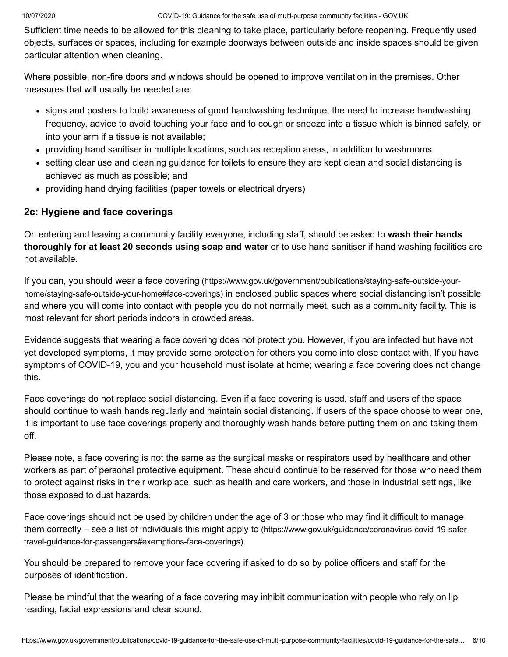Sufficient time needs to be allowed for this cleaning to take place, particularly before reopening. Frequently used objects, surfaces or spaces, including for example doorways between outside and inside spaces should be given particular attention when cleaning.

Where possible, non-fire doors and windows should be opened to improve ventilation in the premises. Other measures that will usually be needed are:

- signs and posters to build awareness of good handwashing technique, the need to increase handwashing frequency, advice to avoid touching your face and to cough or sneeze into a tissue which is binned safely, or into your arm if a tissue is not available;
- providing hand sanitiser in multiple locations, such as reception areas, in addition to washrooms
- setting clear use and cleaning guidance for toilets to ensure they are kept clean and social distancing is achieved as much as possible; and
- providing hand drying facilities (paper towels or electrical dryers)

## **2c: Hygiene and face coverings**

On entering and leaving a community facility everyone, including staff, should be asked to **wash their hands thoroughly for at least 20 seconds using soap and water** or to use hand sanitiser if hand washing facilities are not available.

If you can, you should wear a face covering [\(https://www.gov.uk/government/publications/staying-safe-outside-your](https://www.gov.uk/government/publications/staying-safe-outside-your-home/staying-safe-outside-your-home#face-coverings)home/staying-safe-outside-your-home#face-coverings) in enclosed public spaces where social distancing isn't possible and where you will come into contact with people you do not normally meet, such as a community facility. This is most relevant for short periods indoors in crowded areas.

Evidence suggests that wearing a face covering does not protect you. However, if you are infected but have not yet developed symptoms, it may provide some protection for others you come into close contact with. If you have symptoms of COVID-19, you and your household must isolate at home; wearing a face covering does not change this.

Face coverings do not replace social distancing. Even if a face covering is used, staff and users of the space should continue to wash hands regularly and maintain social distancing. If users of the space choose to wear one, it is important to use face coverings properly and thoroughly wash hands before putting them on and taking them off.

Please note, a face covering is not the same as the surgical masks or respirators used by healthcare and other workers as part of personal protective equipment. These should continue to be reserved for those who need them to protect against risks in their workplace, such as health and care workers, and those in industrial settings, like those exposed to dust hazards.

Face coverings should not be used by children under the age of 3 or those who may find it difficult to manage them correctly – see a list of individuals this might apply to (https://www.gov.uk/guidance/coronavirus-covid-19-safer[travel-guidance-for-passengers#exemptions-face-coverings\)](https://www.gov.uk/guidance/coronavirus-covid-19-safer-travel-guidance-for-passengers#exemptions-face-coverings).

You should be prepared to remove your face covering if asked to do so by police officers and staff for the purposes of identification.

Please be mindful that the wearing of a face covering may inhibit communication with people who rely on lip reading, facial expressions and clear sound.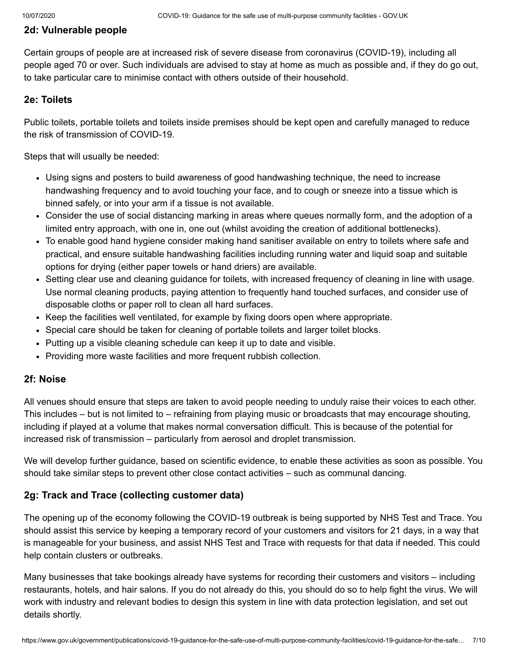#### **2d: Vulnerable people**

Certain groups of people are at increased risk of severe disease from coronavirus (COVID-19), including all people aged 70 or over. Such individuals are advised to stay at home as much as possible and, if they do go out, to take particular care to minimise contact with others outside of their household.

#### **2e: Toilets**

Public toilets, portable toilets and toilets inside premises should be kept open and carefully managed to reduce the risk of transmission of COVID-19.

Steps that will usually be needed:

- Using signs and posters to build awareness of good handwashing technique, the need to increase handwashing frequency and to avoid touching your face, and to cough or sneeze into a tissue which is binned safely, or into your arm if a tissue is not available.
- Consider the use of social distancing marking in areas where queues normally form, and the adoption of a limited entry approach, with one in, one out (whilst avoiding the creation of additional bottlenecks).
- To enable good hand hygiene consider making hand sanitiser available on entry to toilets where safe and practical, and ensure suitable handwashing facilities including running water and liquid soap and suitable options for drying (either paper towels or hand driers) are available.
- Setting clear use and cleaning guidance for toilets, with increased frequency of cleaning in line with usage. Use normal cleaning products, paying attention to frequently hand touched surfaces, and consider use of disposable cloths or paper roll to clean all hard surfaces.
- Keep the facilities well ventilated, for example by fixing doors open where appropriate.
- Special care should be taken for cleaning of portable toilets and larger toilet blocks.
- Putting up a visible cleaning schedule can keep it up to date and visible.
- Providing more waste facilities and more frequent rubbish collection.

#### **2f: Noise**

All venues should ensure that steps are taken to avoid people needing to unduly raise their voices to each other. This includes – but is not limited to – refraining from playing music or broadcasts that may encourage shouting, including if played at a volume that makes normal conversation difficult. This is because of the potential for increased risk of transmission – particularly from aerosol and droplet transmission.

We will develop further guidance, based on scientific evidence, to enable these activities as soon as possible. You should take similar steps to prevent other close contact activities – such as communal dancing.

#### **2g: Track and Trace (collecting customer data)**

The opening up of the economy following the COVID-19 outbreak is being supported by NHS Test and Trace. You should assist this service by keeping a temporary record of your customers and visitors for 21 days, in a way that is manageable for your business, and assist NHS Test and Trace with requests for that data if needed. This could help contain clusters or outbreaks.

Many businesses that take bookings already have systems for recording their customers and visitors – including restaurants, hotels, and hair salons. If you do not already do this, you should do so to help fight the virus. We will work with industry and relevant bodies to design this system in line with data protection legislation, and set out details shortly.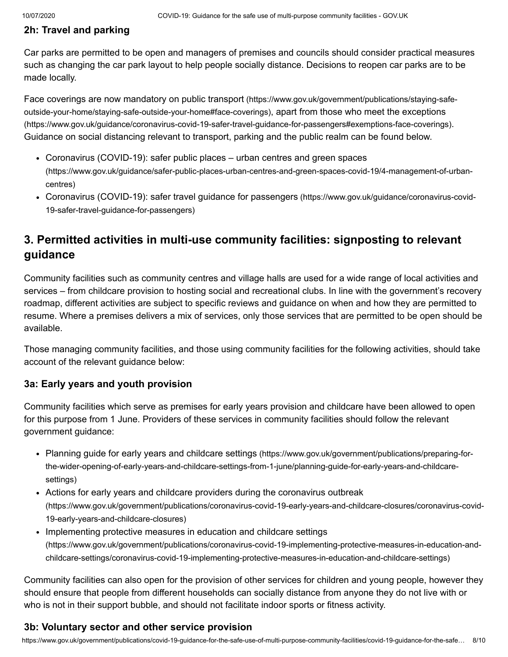## **2h: Travel and parking**

Car parks are permitted to be open and managers of premises and councils should consider practical measures such as changing the car park layout to help people socially distance. Decisions to reopen car parks are to be made locally.

Face coverings are now mandatory on public transport (https://www.gov.uk/government/publications/staying-safe[outside-your-home/staying-safe-outside-your-home#face-coverings\)](https://www.gov.uk/government/publications/staying-safe-outside-your-home/staying-safe-outside-your-home#face-coverings), apart from those who meet the exceptions [\(https://www.gov.uk/guidance/coronavirus-covid-19-safer-travel-guidance-for-passengers#exemptions-face-coverings\)](https://www.gov.uk/guidance/coronavirus-covid-19-safer-travel-guidance-for-passengers#exemptions-face-coverings). Guidance on social distancing relevant to transport, parking and the public realm can be found below.

- Coronavirus (COVID-19): safer public places urban centres and green spaces [\(https://www.gov.uk/guidance/safer-public-places-urban-centres-and-green-spaces-covid-19/4-management-of-urban](https://www.gov.uk/guidance/safer-public-places-urban-centres-and-green-spaces-covid-19/4-management-of-urban-centres)centres)
- Coronavirus (COVID-19): safer travel guidance for passengers [\(https://www.gov.uk/guidance/coronavirus-covid-](https://www.gov.uk/guidance/coronavirus-covid-19-safer-travel-guidance-for-passengers)19-safer-travel-guidance-for-passengers)

## **3. Permitted activities in multi-use community facilities: signposting to relevant guidance**

Community facilities such as community centres and village halls are used for a wide range of local activities and services – from childcare provision to hosting social and recreational clubs. In line with the government's recovery roadmap, different activities are subject to specific reviews and guidance on when and how they are permitted to resume. Where a premises delivers a mix of services, only those services that are permitted to be open should be available.

Those managing community facilities, and those using community facilities for the following activities, should take account of the relevant guidance below:

## **3a: Early years and youth provision**

Community facilities which serve as premises for early years provision and childcare have been allowed to open for this purpose from 1 June. Providers of these services in community facilities should follow the relevant government guidance:

- Planning guide for early years and childcare settings (https://www.gov.uk/government/publications/preparing-for[the-wider-opening-of-early-years-and-childcare-settings-from-1-june/planning-guide-for-early-years-and-childcare](https://www.gov.uk/government/publications/preparing-for-the-wider-opening-of-early-years-and-childcare-settings-from-1-june/planning-guide-for-early-years-and-childcare-settings)settings)
- Actions for early years and childcare providers during the coronavirus outbreak [\(https://www.gov.uk/government/publications/coronavirus-covid-19-early-years-and-childcare-closures/coronavirus-covid-](https://www.gov.uk/government/publications/coronavirus-covid-19-early-years-and-childcare-closures/coronavirus-covid-19-early-years-and-childcare-closures)19-early-years-and-childcare-closures)
- Implementing protective measures in education and childcare settings [\(https://www.gov.uk/government/publications/coronavirus-covid-19-implementing-protective-measures-in-education-and](https://www.gov.uk/government/publications/coronavirus-covid-19-implementing-protective-measures-in-education-and-childcare-settings/coronavirus-covid-19-implementing-protective-measures-in-education-and-childcare-settings)childcare-settings/coronavirus-covid-19-implementing-protective-measures-in-education-and-childcare-settings)

Community facilities can also open for the provision of other services for children and young people, however they should ensure that people from different households can socially distance from anyone they do not live with or who is not in their support bubble, and should not facilitate indoor sports or fitness activity.

## **3b: Voluntary sector and other service provision**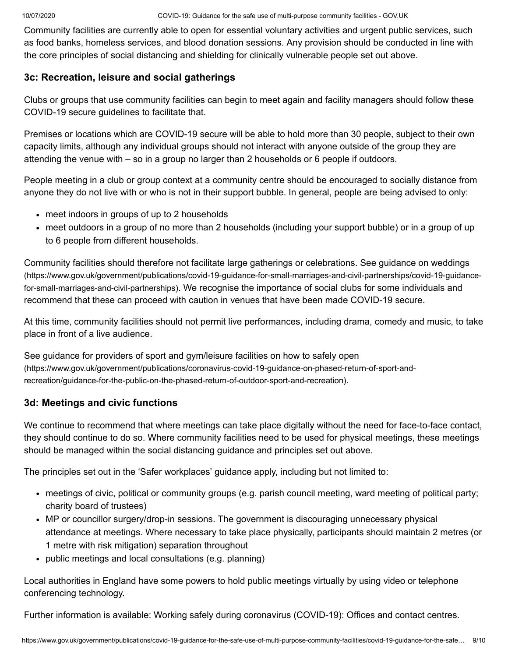Community facilities are currently able to open for essential voluntary activities and urgent public services, such as food banks, homeless services, and blood donation sessions. Any provision should be conducted in line with the core principles of social distancing and shielding for clinically vulnerable people set out above.

## **3c: Recreation, leisure and social gatherings**

Clubs or groups that use community facilities can begin to meet again and facility managers should follow these COVID-19 secure guidelines to facilitate that.

Premises or locations which are COVID-19 secure will be able to hold more than 30 people, subject to their own capacity limits, although any individual groups should not interact with anyone outside of the group they are attending the venue with – so in a group no larger than 2 households or 6 people if outdoors.

People meeting in a club or group context at a community centre should be encouraged to socially distance from anyone they do not live with or who is not in their support bubble. In general, people are being advised to only:

- meet indoors in groups of up to 2 households
- meet outdoors in a group of no more than 2 households (including your support bubble) or in a group of up to 6 people from different households.

Community facilities should therefore not facilitate large gatherings or celebrations. See guidance on weddings [\(https://www.gov.uk/government/publications/covid-19-guidance-for-small-marriages-and-civil-partnerships/covid-19-guidance](https://www.gov.uk/government/publications/covid-19-guidance-for-small-marriages-and-civil-partnerships/covid-19-guidance-for-small-marriages-and-civil-partnerships)for-small-marriages-and-civil-partnerships). We recognise the importance of social clubs for some individuals and recommend that these can proceed with caution in venues that have been made COVID-19 secure.

At this time, community facilities should not permit live performances, including drama, comedy and music, to take place in front of a live audience.

See guidance for providers of sport and gym/leisure facilities on how to safely open [\(https://www.gov.uk/government/publications/coronavirus-covid-19-guidance-on-phased-return-of-sport-and](https://www.gov.uk/government/publications/coronavirus-covid-19-guidance-on-phased-return-of-sport-and-recreation/guidance-for-the-public-on-the-phased-return-of-outdoor-sport-and-recreation)recreation/guidance-for-the-public-on-the-phased-return-of-outdoor-sport-and-recreation).

## **3d: Meetings and civic functions**

We continue to recommend that where meetings can take place digitally without the need for face-to-face contact, they should continue to do so. Where community facilities need to be used for physical meetings, these meetings should be managed within the social distancing guidance and principles set out above.

The principles set out in the 'Safer workplaces' guidance apply, including but not limited to:

- meetings of civic, political or community groups (e.g. parish council meeting, ward meeting of political party; charity board of trustees)
- MP or councillor surgery/drop-in sessions. The government is discouraging unnecessary physical attendance at meetings. Where necessary to take place physically, participants should maintain 2 metres (or 1 metre with risk mitigation) separation throughout
- public meetings and local consultations (e.g. planning)

Local authorities in England have some powers to hold public meetings virtually by using video or telephone conferencing technology.

Further information is available: Working safely during coronavirus [\(COVID-19\):](https://www.gov.uk/government/publications/covid-19-guidance-for-the-safe-use-of-multi-purpose-community-facilities/Offices%20and%20contact%20centres) Offices and contact centres.